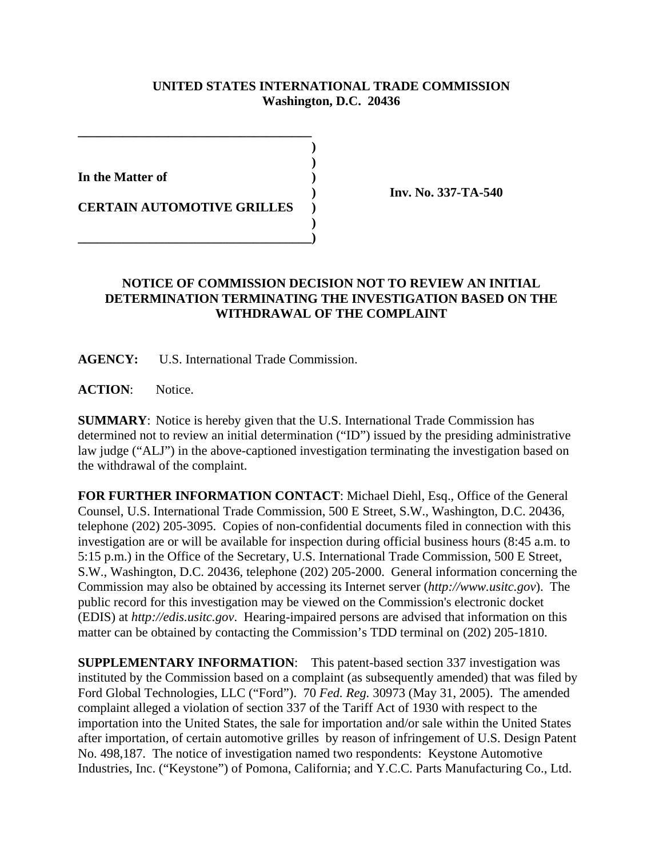## **UNITED STATES INTERNATIONAL TRADE COMMISSION Washington, D.C. 20436**

**)**

 **)**

 **) In the Matter of )**

**CERTAIN AUTOMOTIVE GRILLES )**

**\_\_\_\_\_\_\_\_\_\_\_\_\_\_\_\_\_\_\_\_\_\_\_\_\_\_\_\_\_\_\_\_\_\_\_\_)**

**\_\_\_\_\_\_\_\_\_\_\_\_\_\_\_\_\_\_\_\_\_\_\_\_\_\_\_\_\_\_\_\_\_\_\_\_**

**) Inv. No. 337-TA-540**

## **NOTICE OF COMMISSION DECISION NOT TO REVIEW AN INITIAL DETERMINATION TERMINATING THE INVESTIGATION BASED ON THE WITHDRAWAL OF THE COMPLAINT**

**AGENCY:** U.S. International Trade Commission.

ACTION: Notice.

**SUMMARY**: Notice is hereby given that the U.S. International Trade Commission has determined not to review an initial determination ("ID") issued by the presiding administrative law judge ("ALJ") in the above-captioned investigation terminating the investigation based on the withdrawal of the complaint.

**FOR FURTHER INFORMATION CONTACT**: Michael Diehl, Esq., Office of the General Counsel, U.S. International Trade Commission, 500 E Street, S.W., Washington, D.C. 20436, telephone (202) 205-3095. Copies of non-confidential documents filed in connection with this investigation are or will be available for inspection during official business hours (8:45 a.m. to 5:15 p.m.) in the Office of the Secretary, U.S. International Trade Commission, 500 E Street, S.W., Washington, D.C. 20436, telephone (202) 205-2000. General information concerning the Commission may also be obtained by accessing its Internet server (*http://www.usitc.gov*). The public record for this investigation may be viewed on the Commission's electronic docket (EDIS) at *http://edis.usitc.gov*. Hearing-impaired persons are advised that information on this matter can be obtained by contacting the Commission's TDD terminal on (202) 205-1810.

**SUPPLEMENTARY INFORMATION**: This patent-based section 337 investigation was instituted by the Commission based on a complaint (as subsequently amended) that was filed by Ford Global Technologies, LLC ("Ford"). 70 *Fed. Reg.* 30973 (May 31, 2005). The amended complaint alleged a violation of section 337 of the Tariff Act of 1930 with respect to the importation into the United States, the sale for importation and/or sale within the United States after importation, of certain automotive grilles by reason of infringement of U.S. Design Patent No. 498,187. The notice of investigation named two respondents: Keystone Automotive Industries, Inc. ("Keystone") of Pomona, California; and Y.C.C. Parts Manufacturing Co., Ltd.